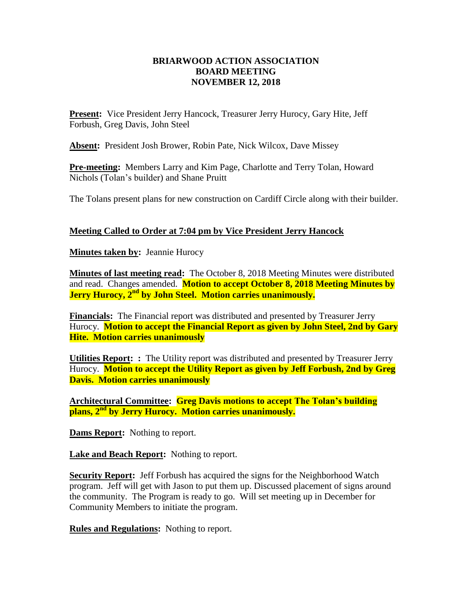## **BRIARWOOD ACTION ASSOCIATION BOARD MEETING NOVEMBER 12, 2018**

Present: Vice President Jerry Hancock, Treasurer Jerry Hurocy, Gary Hite, Jeff Forbush, Greg Davis, John Steel

**Absent:** President Josh Brower, Robin Pate, Nick Wilcox, Dave Missey

**Pre-meeting:** Members Larry and Kim Page, Charlotte and Terry Tolan, Howard Nichols (Tolan's builder) and Shane Pruitt

The Tolans present plans for new construction on Cardiff Circle along with their builder.

## **Meeting Called to Order at 7:04 pm by Vice President Jerry Hancock**

**Minutes taken by:** Jeannie Hurocy

**Minutes of last meeting read:** The October 8, 2018 Meeting Minutes were distributed and read. Changes amended. **Motion to accept October 8, 2018 Meeting Minutes by Jerry Hurocy, 2nd by John Steel. Motion carries unanimously.**

**Financials:** The Financial report was distributed and presented by Treasurer Jerry Hurocy. **Motion to accept the Financial Report as given by John Steel, 2nd by Gary Hite. Motion carries unanimously** 

**Utilities Report: :** The Utility report was distributed and presented by Treasurer Jerry Hurocy. **Motion to accept the Utility Report as given by Jeff Forbush, 2nd by Greg Davis. Motion carries unanimously** 

**Architectural Committee: Greg Davis motions to accept The Tolan's building plans, 2nd by Jerry Hurocy. Motion carries unanimously.**

**Dams Report:** Nothing to report.

**Lake and Beach Report:** Nothing to report.

**Security Report:** Jeff Forbush has acquired the signs for the Neighborhood Watch program. Jeff will get with Jason to put them up. Discussed placement of signs around the community. The Program is ready to go. Will set meeting up in December for Community Members to initiate the program.

**Rules and Regulations:** Nothing to report.